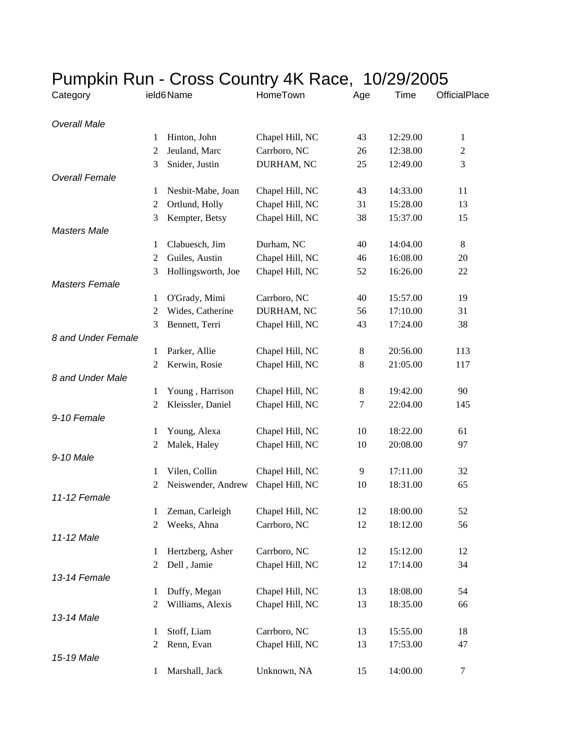|                       |                     |                    |                                 | Pumpkin Run - Cross Country 4K Race, 10/29/2005 |                      |                |  |
|-----------------------|---------------------|--------------------|---------------------------------|-------------------------------------------------|----------------------|----------------|--|
| Category              |                     | ield6 Name         | HomeTown                        | Age                                             | Time                 | OfficialPlace  |  |
| <b>Overall Male</b>   |                     |                    |                                 |                                                 |                      |                |  |
|                       | 1                   | Hinton, John       | Chapel Hill, NC                 | 43                                              | 12:29.00             | $\mathbf{1}$   |  |
|                       | $\overline{c}$      | Jeuland, Marc      | Carrboro, NC                    | 26                                              | 12:38.00             | $\overline{c}$ |  |
|                       | 3                   | Snider, Justin     | DURHAM, NC                      | 25                                              | 12:49.00             | 3              |  |
| <b>Overall Female</b> |                     |                    |                                 |                                                 |                      |                |  |
|                       | 1                   | Nesbit-Mabe, Joan  | Chapel Hill, NC                 | 43                                              | 14:33.00             | 11             |  |
|                       | $\overline{2}$      | Ortlund, Holly     | Chapel Hill, NC                 | 31                                              | 15:28.00             | 13             |  |
|                       | 3                   | Kempter, Betsy     | Chapel Hill, NC                 | 38                                              | 15:37.00             | 15             |  |
| <b>Masters Male</b>   |                     |                    |                                 |                                                 |                      |                |  |
|                       | 1                   | Clabuesch, Jim     | Durham, NC                      | 40                                              | 14:04.00             | 8              |  |
|                       | 2                   | Guiles, Austin     | Chapel Hill, NC                 | 46                                              | 16:08.00             | 20             |  |
|                       | 3                   | Hollingsworth, Joe | Chapel Hill, NC                 | 52                                              | 16:26.00             | 22             |  |
| <b>Masters Female</b> |                     |                    |                                 |                                                 |                      |                |  |
|                       | 1                   | O'Grady, Mimi      | Carrboro, NC                    | 40                                              | 15:57.00             | 19             |  |
|                       | $\overline{2}$      | Wides, Catherine   | DURHAM, NC                      | 56                                              | 17:10.00             | 31             |  |
|                       | 3                   | Bennett, Terri     | Chapel Hill, NC                 | 43                                              | 17:24.00             | 38             |  |
| 8 and Under Female    |                     |                    |                                 |                                                 |                      |                |  |
|                       | 1                   | Parker, Allie      | Chapel Hill, NC                 | 8                                               | 20:56.00             | 113            |  |
|                       | $\overline{c}$      | Kerwin, Rosie      | Chapel Hill, NC                 | 8                                               | 21:05.00             | 117            |  |
| 8 and Under Male      |                     |                    |                                 |                                                 |                      |                |  |
|                       | 1                   | Young, Harrison    | Chapel Hill, NC                 | 8                                               | 19:42.00             | 90             |  |
|                       | $\overline{2}$      | Kleissler, Daniel  | Chapel Hill, NC                 | 7                                               | 22:04.00             | 145            |  |
| 9-10 Female           |                     |                    |                                 |                                                 |                      |                |  |
|                       | 1                   | Young, Alexa       | Chapel Hill, NC                 | 10                                              | 18:22.00             | 61             |  |
|                       | $\overline{c}$      | Malek, Haley       | Chapel Hill, NC                 | 10                                              | 20:08.00             | 97             |  |
| 9-10 Male             |                     |                    |                                 |                                                 |                      |                |  |
|                       | 1                   | Vilen, Collin      | Chapel Hill, NC                 | 9                                               | 17:11.00             | 32             |  |
|                       | $\overline{c}$      | Neiswender, Andrew | Chapel Hill, NC                 | 10                                              | 18:31.00             | 65             |  |
| 11-12 Female          |                     |                    |                                 |                                                 |                      |                |  |
|                       | 1<br>$\overline{2}$ | Zeman, Carleigh    | Chapel Hill, NC<br>Carrboro, NC | 12                                              | 18:00.00<br>18:12.00 | 52             |  |
| 11-12 Male            |                     | Weeks, Ahna        |                                 | 12                                              |                      | 56             |  |
|                       | 1                   | Hertzberg, Asher   | Carrboro, NC                    | 12                                              | 15:12.00             | 12             |  |
|                       | $\overline{c}$      | Dell, Jamie        | Chapel Hill, NC                 | 12                                              | 17:14.00             | 34             |  |
| 13-14 Female          |                     |                    |                                 |                                                 |                      |                |  |
|                       | 1                   | Duffy, Megan       | Chapel Hill, NC                 | 13                                              | 18:08.00             | 54             |  |
|                       | $\overline{2}$      | Williams, Alexis   | Chapel Hill, NC                 | 13                                              | 18:35.00             | 66             |  |
| 13-14 Male            |                     |                    |                                 |                                                 |                      |                |  |
|                       | 1                   | Stoff, Liam        | Carrboro, NC                    | 13                                              | 15:55.00             | 18             |  |
|                       | $\overline{c}$      | Renn, Evan         | Chapel Hill, NC                 | 13                                              | 17:53.00             | 47             |  |
| 15-19 Male            |                     |                    |                                 |                                                 |                      |                |  |
|                       | 1                   | Marshall, Jack     | Unknown, NA                     | 15                                              | 14:00.00             | 7              |  |